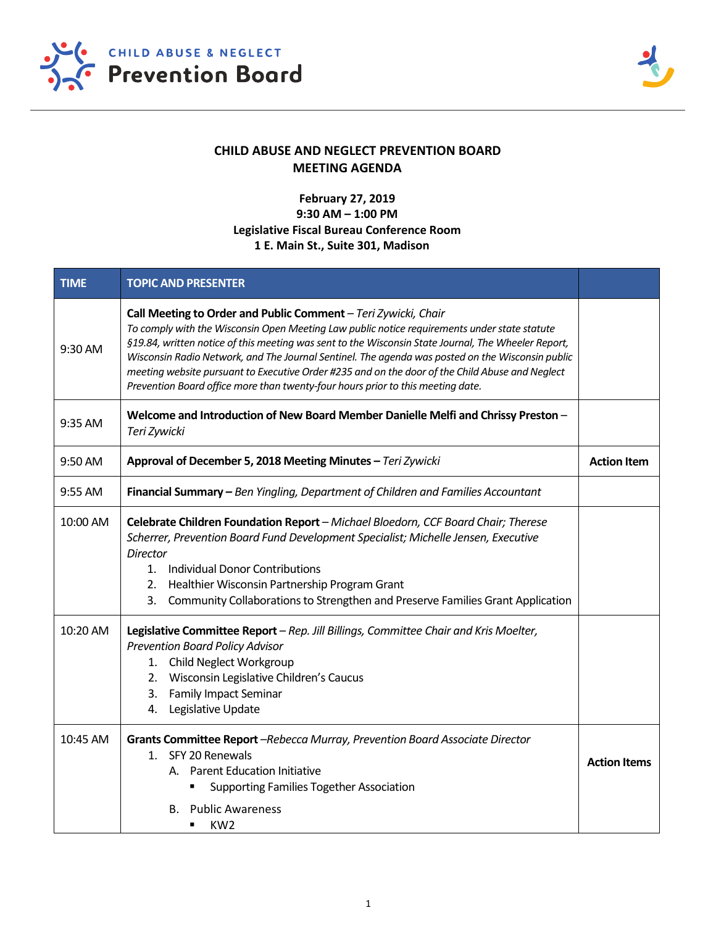



## **CHILD ABUSE AND NEGLECT PREVENTION BOARD MEETING AGENDA**

## **February 27, 2019 9:30 AM – 1:00 PM Legislative Fiscal Bureau Conference Room 1 E. Main St., Suite 301, Madison**

| <b>TIME</b> | <b>TOPIC AND PRESENTER</b>                                                                                                                                                                                                                                                                                                                                                                                                                                                                                                                                      |                     |
|-------------|-----------------------------------------------------------------------------------------------------------------------------------------------------------------------------------------------------------------------------------------------------------------------------------------------------------------------------------------------------------------------------------------------------------------------------------------------------------------------------------------------------------------------------------------------------------------|---------------------|
| 9:30 AM     | Call Meeting to Order and Public Comment - Teri Zywicki, Chair<br>To comply with the Wisconsin Open Meeting Law public notice requirements under state statute<br>§19.84, written notice of this meeting was sent to the Wisconsin State Journal, The Wheeler Report,<br>Wisconsin Radio Network, and The Journal Sentinel. The agenda was posted on the Wisconsin public<br>meeting website pursuant to Executive Order #235 and on the door of the Child Abuse and Neglect<br>Prevention Board office more than twenty-four hours prior to this meeting date. |                     |
| 9:35 AM     | Welcome and Introduction of New Board Member Danielle Melfi and Chrissy Preston -<br>Teri Zywicki                                                                                                                                                                                                                                                                                                                                                                                                                                                               |                     |
| 9:50 AM     | Approval of December 5, 2018 Meeting Minutes - Teri Zywicki                                                                                                                                                                                                                                                                                                                                                                                                                                                                                                     |                     |
| $9:55$ AM   | Financial Summary - Ben Yingling, Department of Children and Families Accountant                                                                                                                                                                                                                                                                                                                                                                                                                                                                                |                     |
| 10:00 AM    | Celebrate Children Foundation Report - Michael Bloedorn, CCF Board Chair; Therese<br>Scherrer, Prevention Board Fund Development Specialist; Michelle Jensen, Executive<br><b>Director</b><br>1. Individual Donor Contributions<br>Healthier Wisconsin Partnership Program Grant<br>2.<br>Community Collaborations to Strengthen and Preserve Families Grant Application<br>3.                                                                                                                                                                                  |                     |
| 10:20 AM    | Legislative Committee Report - Rep. Jill Billings, Committee Chair and Kris Moelter,<br><b>Prevention Board Policy Advisor</b><br>Child Neglect Workgroup<br>1.<br>Wisconsin Legislative Children's Caucus<br>2.<br><b>Family Impact Seminar</b><br>3.<br>Legislative Update<br>4.                                                                                                                                                                                                                                                                              |                     |
| 10:45 AM    | Grants Committee Report -Rebecca Murray, Prevention Board Associate Director<br>1. SFY 20 Renewals<br>A. Parent Education Initiative<br><b>Supporting Families Together Association</b><br>٠<br><b>B.</b> Public Awareness<br>KW <sub>2</sub><br>п                                                                                                                                                                                                                                                                                                              | <b>Action Items</b> |